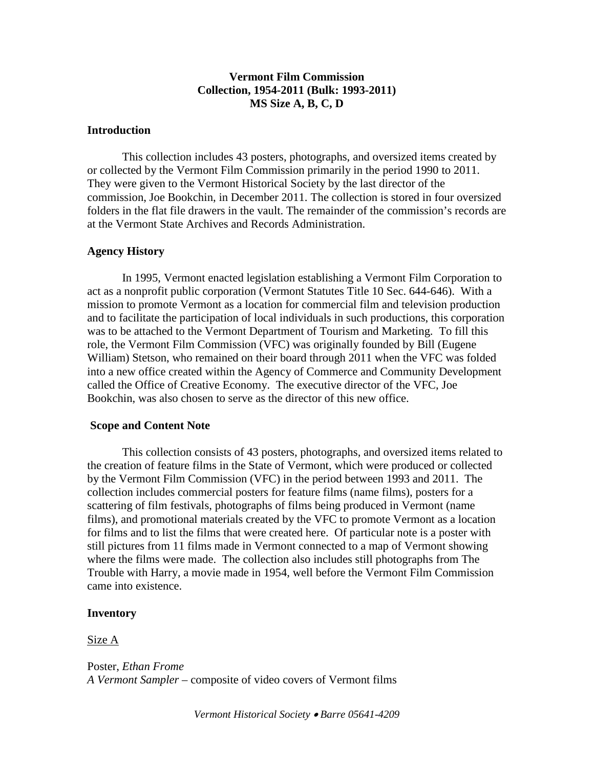## **Vermont Film Commission Collection, 1954-2011 (Bulk: 1993-2011) MS Size A, B, C, D**

### **Introduction**

This collection includes 43 posters, photographs, and oversized items created by or collected by the Vermont Film Commission primarily in the period 1990 to 2011. They were given to the Vermont Historical Society by the last director of the commission, Joe Bookchin, in December 2011. The collection is stored in four oversized folders in the flat file drawers in the vault. The remainder of the commission's records are at the Vermont State Archives and Records Administration.

## **Agency History**

In 1995, Vermont enacted legislation establishing a Vermont Film Corporation to act as a nonprofit public corporation (Vermont Statutes Title 10 Sec. 644-646). With a mission to promote Vermont as a location for commercial film and television production and to facilitate the participation of local individuals in such productions, this corporation was to be attached to the Vermont Department of Tourism and Marketing. To fill this role, the Vermont Film Commission (VFC) was originally founded by Bill (Eugene William) Stetson, who remained on their board through 2011 when the VFC was folded into a new office created within the Agency of Commerce and Community Development called the Office of Creative Economy. The executive director of the VFC, Joe Bookchin, was also chosen to serve as the director of this new office.

#### **Scope and Content Note**

This collection consists of 43 posters, photographs, and oversized items related to the creation of feature films in the State of Vermont, which were produced or collected by the Vermont Film Commission (VFC) in the period between 1993 and 2011. The collection includes commercial posters for feature films (name films), posters for a scattering of film festivals, photographs of films being produced in Vermont (name films), and promotional materials created by the VFC to promote Vermont as a location for films and to list the films that were created here. Of particular note is a poster with still pictures from 11 films made in Vermont connected to a map of Vermont showing where the films were made. The collection also includes still photographs from The Trouble with Harry, a movie made in 1954, well before the Vermont Film Commission came into existence.

#### **Inventory**

### Size A

Poster, *Ethan Frome A Vermont Sampler* – composite of video covers of Vermont films

*Vermont Historical Society* • *Barre 05641-4209*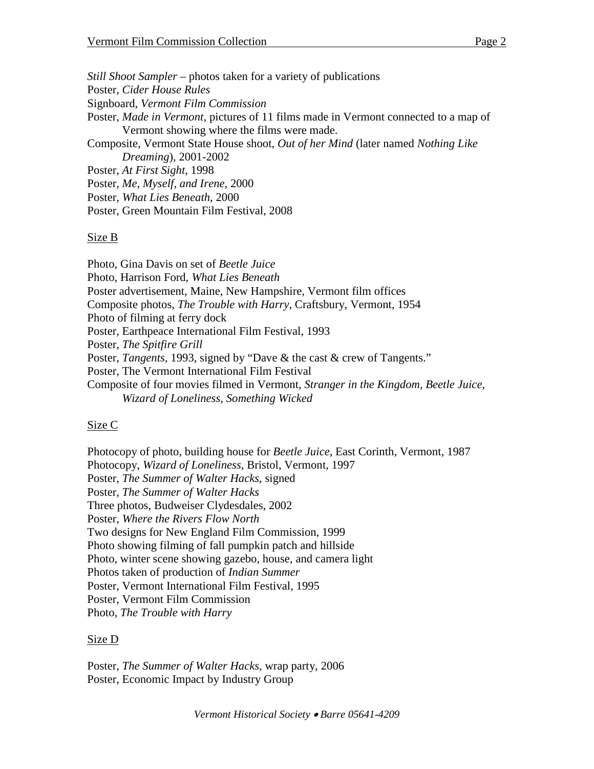*Still Shoot Sampler* – photos taken for a variety of publications Poster, *Cider House Rules* Signboard, *Vermont Film Commission* Poster, *Made in Vermont,* pictures of 11 films made in Vermont connected to a map of Vermont showing where the films were made. Composite, Vermont State House shoot, *Out of her Mind* (later named *Nothing Like Dreaming*), 2001-2002 Poster, *At First Sight*, 1998 Poster, *Me, Myself, and Irene*, 2000 Poster, *What Lies Beneath*, 2000 Poster, Green Mountain Film Festival, 2008

# Size B

Photo, Gina Davis on set of *Beetle Juice* Photo, Harrison Ford, *What Lies Beneath* Poster advertisement, Maine, New Hampshire, Vermont film offices Composite photos, *The Trouble with Harry*, Craftsbury, Vermont, 1954 Photo of filming at ferry dock Poster, Earthpeace International Film Festival, 1993 Poster, *The Spitfire Grill* Poster, *Tangents*, 1993, signed by "Dave & the cast & crew of Tangents." Poster, The Vermont International Film Festival Composite of four movies filmed in Vermont, *Stranger in the Kingdom, Beetle Juice, Wizard of Loneliness, Something Wicked*

# Size C

Photocopy of photo, building house for *Beetle Juice*, East Corinth, Vermont, 1987 Photocopy, *Wizard of Loneliness*, Bristol, Vermont, 1997 Poster, *The Summer of Walter Hacks*, signed Poster, *The Summer of Walter Hacks* Three photos, Budweiser Clydesdales, 2002 Poster, *Where the Rivers Flow North* Two designs for New England Film Commission, 1999 Photo showing filming of fall pumpkin patch and hillside Photo, winter scene showing gazebo, house, and camera light Photos taken of production of *Indian Summer* Poster, Vermont International Film Festival, 1995 Poster, Vermont Film Commission Photo, *The Trouble with Harry*

## Size D

Poster, *The Summer of Walter Hacks*, wrap party, 2006 Poster, Economic Impact by Industry Group